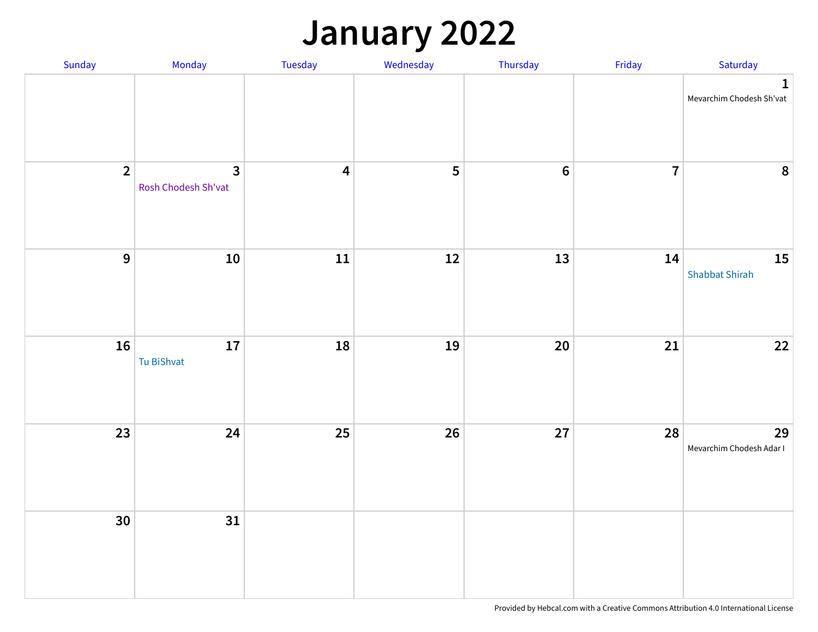### **January 2022**

| Sunday         | Monday                                         | Tuesday                 | Wednesday | Thursday       | Friday         | Saturday                                |
|----------------|------------------------------------------------|-------------------------|-----------|----------------|----------------|-----------------------------------------|
|                |                                                |                         |           |                |                | $\mathbf 1$<br>Mevarchim Chodesh Sh'vat |
| $\overline{2}$ | $\overline{\mathbf{3}}$<br>Rosh Chodesh Sh'vat | $\overline{\mathbf{4}}$ | 5         | $6\phantom{a}$ | $\overline{7}$ | $\pmb{8}$                               |
| $\overline{9}$ | ${\bf 10}$                                     | ${\bf 11}$              | $12$      | 13             | 14             | 15<br><b>Shabbat Shirah</b>             |
| 16             | 17<br>Tu BiShvat                               | 18                      | 19        | $20\,$         | 21             | $22$                                    |
| 23             | 24                                             | 25                      | 26        | 27             | 28             | 29<br>Mevarchim Chodesh Adar I          |
| 30             | 31                                             |                         |           |                |                |                                         |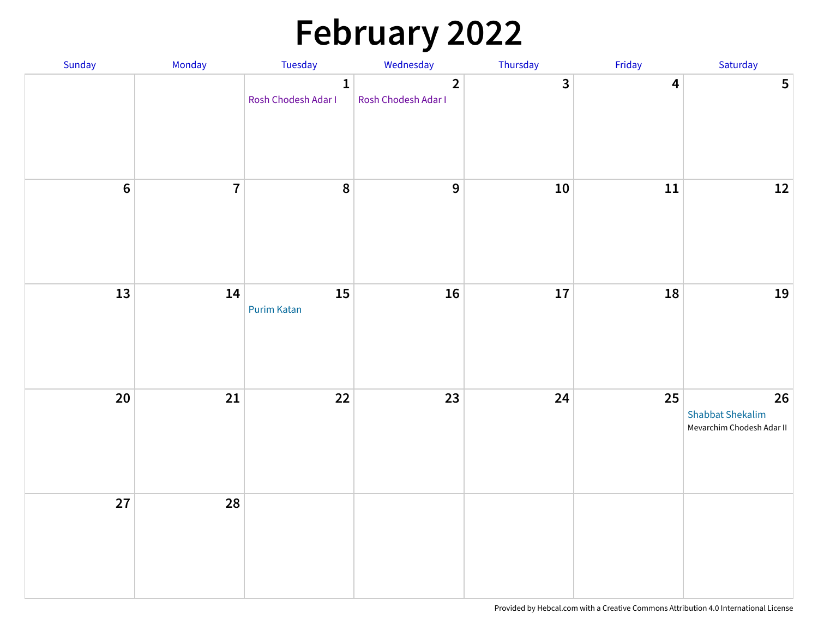# **February 2022**

| Sunday           | Monday         | Tuesday                             | Wednesday                             | Thursday     | Friday                  | Saturday                                                   |
|------------------|----------------|-------------------------------------|---------------------------------------|--------------|-------------------------|------------------------------------------------------------|
|                  |                | $\mathbf{1}$<br>Rosh Chodesh Adar I | $\overline{2}$<br>Rosh Chodesh Adar I | $\mathbf{3}$ | $\overline{\mathbf{4}}$ | $5\phantom{a}$                                             |
| $\boldsymbol{6}$ | $\overline{7}$ | $\pmb{8}$                           | $\mathbf{9}$                          | ${\bf 10}$   | ${\bf 11}$              | $12$                                                       |
| 13               | 14             | 15<br><b>Purim Katan</b>            | 16                                    | $17\,$       | 18                      | 19                                                         |
| 20               | 21             | 22                                  | 23                                    | 24           | 25                      | 26<br><b>Shabbat Shekalim</b><br>Mevarchim Chodesh Adar II |
| 27               | 28             |                                     |                                       |              |                         |                                                            |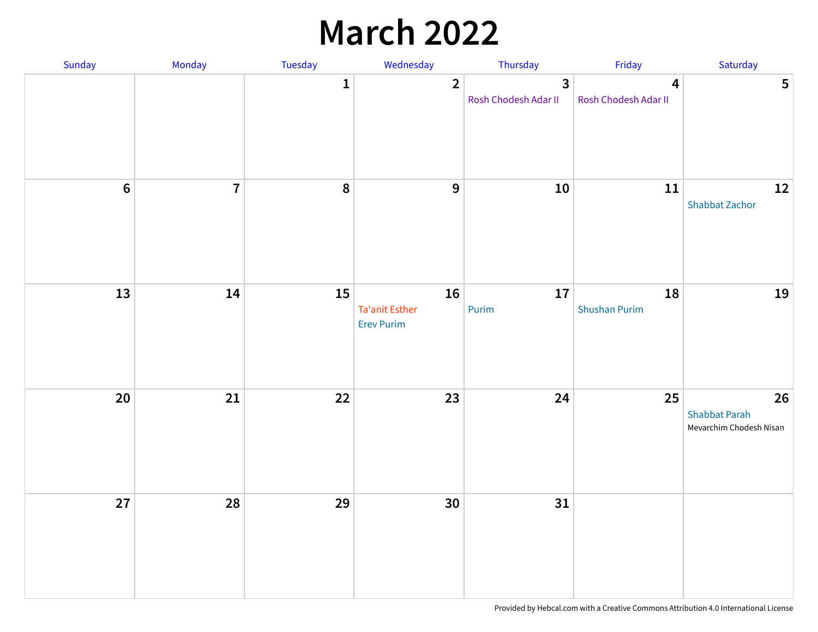### **March 2022**

| Sunday         | Monday         | <b>Tuesday</b> | Wednesday                                        | Thursday                             | Friday                                          | Saturday                                              |
|----------------|----------------|----------------|--------------------------------------------------|--------------------------------------|-------------------------------------------------|-------------------------------------------------------|
|                |                | $\mathbf{1}$   | $\overline{2}$                                   | $\mathbf{3}$<br>Rosh Chodesh Adar II | $\overline{\mathbf{4}}$<br>Rosh Chodesh Adar II | $5\phantom{a}$                                        |
| $6\phantom{a}$ | $\overline{7}$ | $\pmb{8}$      | 9                                                | ${\bf 10}$                           | ${\bf 11}$                                      | $12\,$<br><b>Shabbat Zachor</b>                       |
| 13             | 14             | 15             | 16<br><b>Ta'anit Esther</b><br><b>Erev Purim</b> | 17<br>Purim                          | 18<br><b>Shushan Purim</b>                      | 19                                                    |
| 20             | 21             | 22             | 23                                               | 24                                   | 25                                              | 26<br><b>Shabbat Parah</b><br>Mevarchim Chodesh Nisan |
| 27             | 28             | 29             | 30                                               | 31                                   |                                                 |                                                       |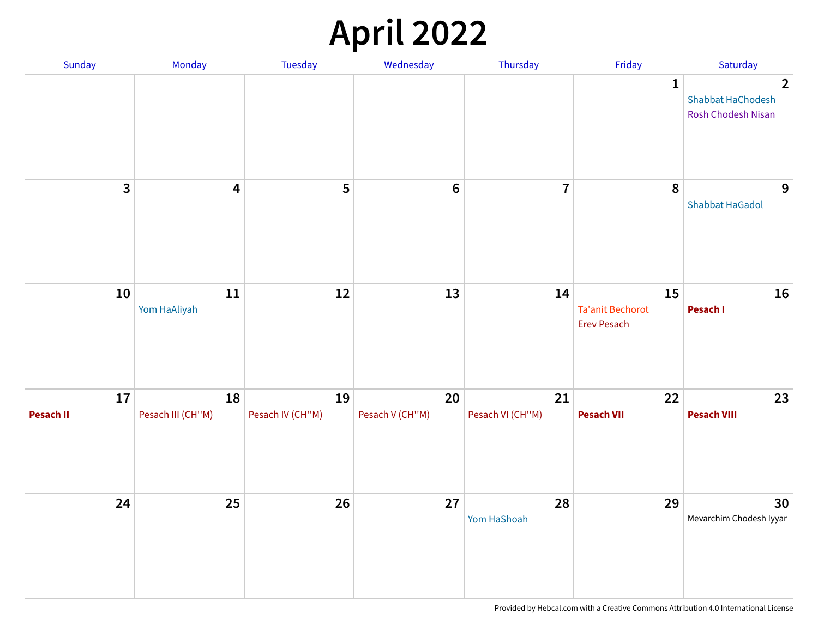# **April 2022**

| Sunday          | Monday                  | Tuesday                | Wednesday             | Thursday               | Friday                                              | Saturday                                                  |
|-----------------|-------------------------|------------------------|-----------------------|------------------------|-----------------------------------------------------|-----------------------------------------------------------|
|                 |                         |                        |                       |                        | $\mathbf{1}$                                        | $\overline{2}$<br>Shabbat HaChodesh<br>Rosh Chodesh Nisan |
| 3               | 4                       | 5                      | $6\,$                 | $\overline{7}$         | 8                                                   | 9<br><b>Shabbat HaGadol</b>                               |
| 10              | 11<br>Yom HaAliyah      | 12                     | 13                    | 14                     | 15<br><b>Ta'anit Bechorot</b><br><b>Erev Pesach</b> | 16<br>Pesach I                                            |
| 17<br>Pesach II | 18<br>Pesach III (CH"M) | 19<br>Pesach IV (CH"M) | 20<br>Pesach V (CH"M) | 21<br>Pesach VI (CH"M) | 22<br><b>Pesach VII</b>                             | 23<br><b>Pesach VIII</b>                                  |
| 24              | 25                      | 26                     | 27                    | 28<br>Yom HaShoah      | 29                                                  | 30<br>Mevarchim Chodesh Iyyar                             |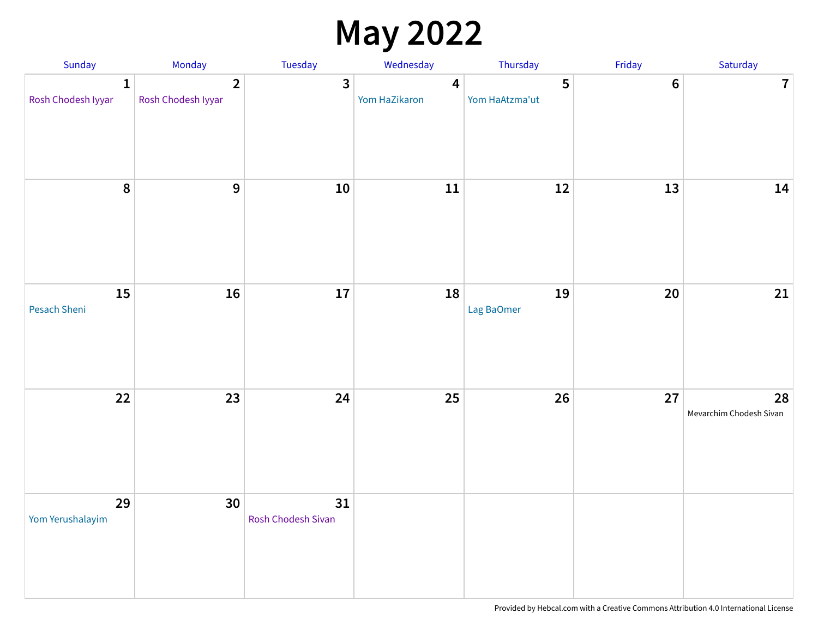### **May 2022**

| Sunday                             | Monday                               | Tuesday                  | Wednesday                                | Thursday                         | Friday           | Saturday                      |
|------------------------------------|--------------------------------------|--------------------------|------------------------------------------|----------------------------------|------------------|-------------------------------|
| $\mathbf{1}$<br>Rosh Chodesh Iyyar | $\overline{2}$<br>Rosh Chodesh Iyyar | $\overline{3}$           | $\overline{\mathbf{4}}$<br>Yom HaZikaron | $5\phantom{a}$<br>Yom HaAtzma'ut | $\boldsymbol{6}$ | $\overline{7}$                |
| $\pmb{8}$                          | 9                                    | ${\bf 10}$               | 11                                       | $12\,$                           | 13               | 14                            |
| 15<br>Pesach Sheni                 | 16                                   | 17                       | 18                                       | 19<br>Lag BaOmer                 | 20               | $21\,$                        |
| 22                                 | 23                                   | 24                       | 25                                       | 26                               | 27               | 28<br>Mevarchim Chodesh Sivan |
| 29<br>Yom Yerushalayim             | 30                                   | 31<br>Rosh Chodesh Sivan |                                          |                                  |                  |                               |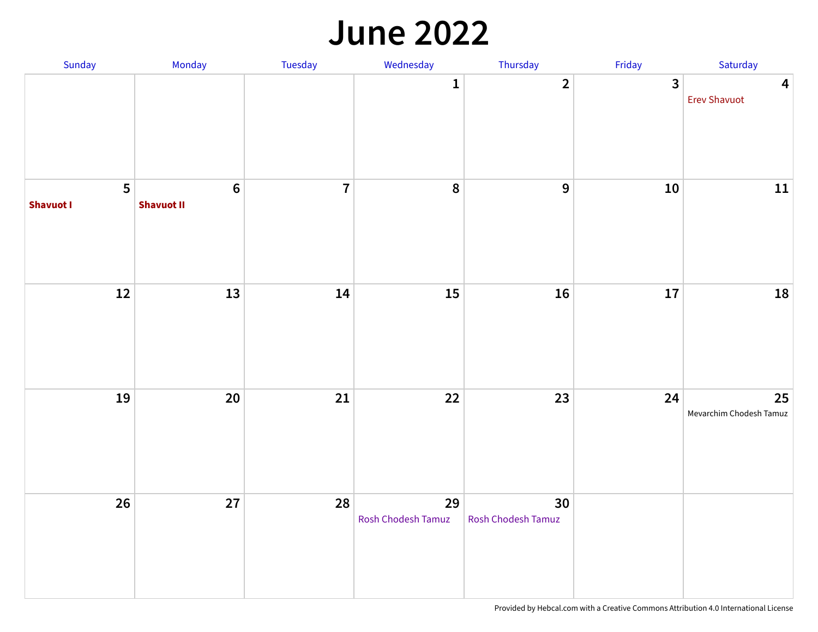#### **June 2022**

| Sunday                             | Monday                       | Tuesday        | Wednesday                | Thursday                 | Friday                  | Saturday                                       |
|------------------------------------|------------------------------|----------------|--------------------------|--------------------------|-------------------------|------------------------------------------------|
|                                    |                              |                | $\mathbf{1}$             | $\overline{2}$           | $\overline{\mathbf{3}}$ | $\overline{\mathbf{4}}$<br><b>Erev Shavuot</b> |
| $5\phantom{a}$<br><b>Shavuot I</b> | $\bf 6$<br><b>Shavuot II</b> | $\overline{7}$ | $\pmb{8}$                | $\boldsymbol{9}$         | ${\bf 10}$              | 11                                             |
| 12                                 | 13                           | 14             | 15                       | 16                       | 17                      | 18                                             |
| 19                                 | $20\,$                       | 21             | 22                       | 23                       | 24                      | 25<br>Mevarchim Chodesh Tamuz                  |
| 26                                 | 27                           | 28             | 29<br>Rosh Chodesh Tamuz | 30<br>Rosh Chodesh Tamuz |                         |                                                |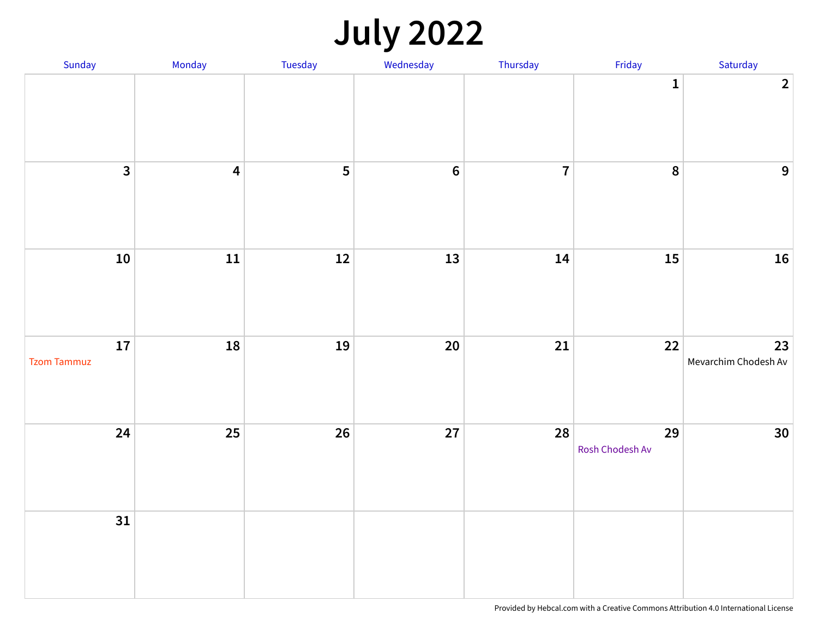# **July 2022**

| Sunday                   | Monday                  | Tuesday | Wednesday      | Thursday       | Friday                | Saturday                   |
|--------------------------|-------------------------|---------|----------------|----------------|-----------------------|----------------------------|
|                          |                         |         |                |                | $\mathbf{1}$          | 2                          |
| $\overline{\mathbf{3}}$  | $\overline{\mathbf{4}}$ | 5       | $6\phantom{a}$ | $\overline{7}$ | $\boldsymbol{8}$      | 9                          |
| ${\bf 10}$               | ${\bf 11}$              | $12$    | 13             | 14             | <b>15</b>             | 16                         |
| 17<br><b>Tzom Tammuz</b> | 18                      | 19      | 20             | $21\,$         | 22                    | 23<br>Mevarchim Chodesh Av |
| 24                       | 25                      | 26      | 27             | 28             | 29<br>Rosh Chodesh Av | 30 <sup>°</sup>            |
| 31                       |                         |         |                |                |                       |                            |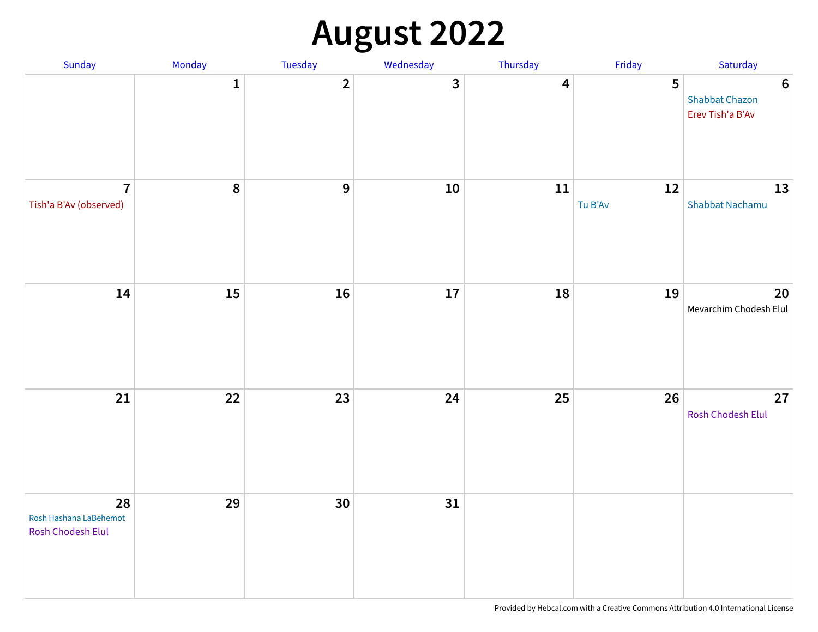# **August 2022**

| Sunday                                            | Monday       | Tuesday        | Wednesday  | Thursday | Friday            | Saturday                                                      |
|---------------------------------------------------|--------------|----------------|------------|----------|-------------------|---------------------------------------------------------------|
|                                                   | $\mathbf{1}$ | $\overline{2}$ | 3          | 4        | 5                 | $\boldsymbol{6}$<br><b>Shabbat Chazon</b><br>Erev Tish'a B'Av |
| $\overline{7}$<br>Tish'a B'Av (observed)          | $\pmb{8}$    | $\overline{9}$ | ${\bf 10}$ | $11\,$   | $12\,$<br>Tu B'Av | 13<br>Shabbat Nachamu                                         |
| 14                                                | 15           | 16             | 17         | 18       | 19                | 20<br>Mevarchim Chodesh Elul                                  |
| 21                                                | 22           | 23             | 24         | 25       | 26                | 27<br>Rosh Chodesh Elul                                       |
| 28<br>Rosh Hashana LaBehemot<br>Rosh Chodesh Elul | 29           | 30             | 31         |          |                   |                                                               |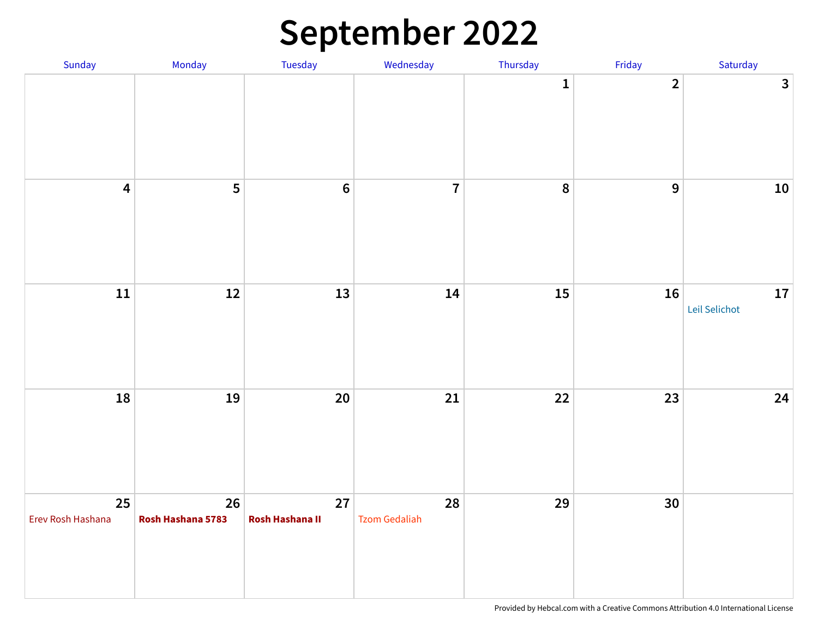### **September 2022**

| Sunday                  | Monday                  | Tuesday               | Wednesday                  | Thursday     | Friday         | Saturday                    |
|-------------------------|-------------------------|-----------------------|----------------------------|--------------|----------------|-----------------------------|
|                         |                         |                       |                            | $\mathbf{1}$ | $\overline{2}$ | $\mathbf{3}$                |
| $\overline{\mathbf{4}}$ | 5                       | $\boldsymbol{6}$      | $\overline{7}$             | $\pmb{8}$    | $\mathbf{9}$   | ${\bf 10}$                  |
| ${\bf 11}$              | $12$                    | 13                    | 14                         | 15           | 16             | ${\bf 17}$<br>Leil Selichot |
| 18                      | 19                      | 20                    | 21                         | 22           | 23             | 24                          |
| 25<br>Erev Rosh Hashana | 26<br>Rosh Hashana 5783 | 27<br>Rosh Hashana II | 28<br><b>Tzom Gedaliah</b> | 29           | 30             |                             |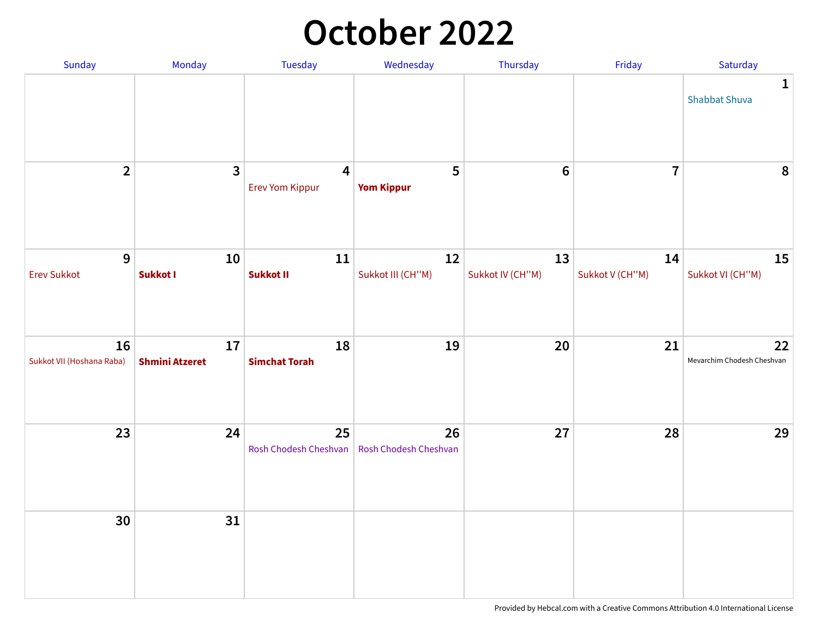### **October 2022**

| Sunday                          | Monday                      | <b>Tuesday</b>                    | Wednesday                   | Thursday               | Friday                | Saturday                             |
|---------------------------------|-----------------------------|-----------------------------------|-----------------------------|------------------------|-----------------------|--------------------------------------|
|                                 |                             |                                   |                             |                        |                       | $\mathbf{1}$<br><b>Shabbat Shuva</b> |
| $\overline{2}$                  | $\mathbf{3}$                | $\overline{4}$<br>Erev Yom Kippur | 5<br><b>Yom Kippur</b>      | $6\phantom{1}6$        | $\overline{7}$        | $\pmb{8}$                            |
| 9<br><b>Erev Sukkot</b>         | 10<br>Sukkot I              | 11<br>Sukkot II                   | 12<br>Sukkot III (CH"M)     | 13<br>Sukkot IV (CH"M) | 14<br>Sukkot V (CH"M) | <b>15</b><br>Sukkot VI (CH"M)        |
| 16<br>Sukkot VII (Hoshana Raba) | 17<br><b>Shmini Atzeret</b> | 18<br><b>Simchat Torah</b>        | 19                          | 20                     | 21                    | 22<br>Mevarchim Chodesh Cheshvan     |
| 23                              | 24                          | 25<br>Rosh Chodesh Cheshvan       | 26<br>Rosh Chodesh Cheshvan | 27                     | 28                    | 29                                   |
| 30                              | 31                          |                                   |                             |                        |                       |                                      |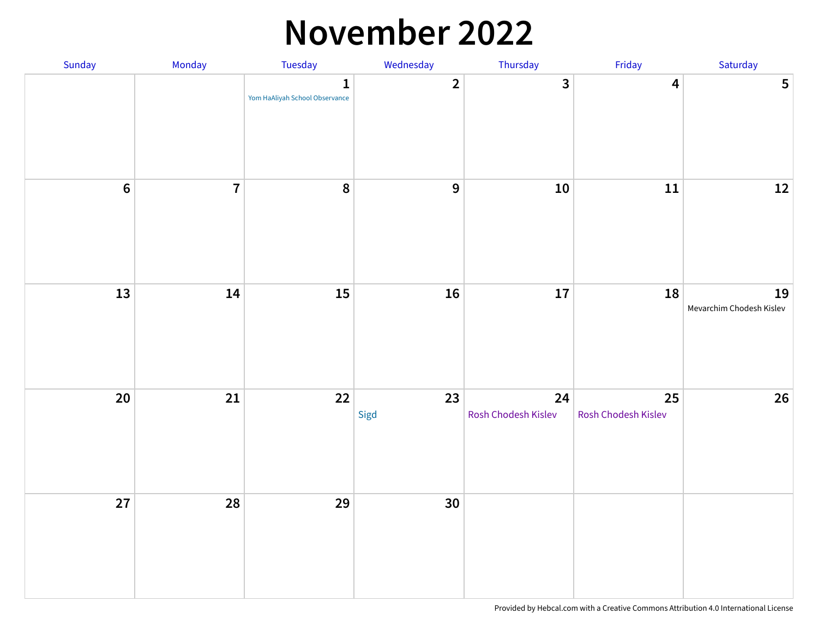#### **November 2022**

| Sunday           | Monday         | Tuesday                                        | Wednesday      | Thursday                  | Friday                    | Saturday                       |
|------------------|----------------|------------------------------------------------|----------------|---------------------------|---------------------------|--------------------------------|
|                  |                | $\mathbf{1}$<br>Yom HaAliyah School Observance | $\overline{2}$ | $\overline{\mathbf{3}}$   | $\overline{\mathbf{4}}$   | $5\phantom{a}$                 |
| $\boldsymbol{6}$ | $\overline{7}$ | $\boldsymbol{8}$                               | 9              | ${\bf 10}$                | ${\bf 11}$                | $12\,$                         |
| 13               | 14             | 15                                             | 16             | 17                        | 18                        | 19<br>Mevarchim Chodesh Kislev |
| $20\,$           | 21             | 22                                             | 23<br>Sigd     | 24<br>Rosh Chodesh Kislev | 25<br>Rosh Chodesh Kislev | 26                             |
| 27               | 28             | 29                                             | 30             |                           |                           |                                |